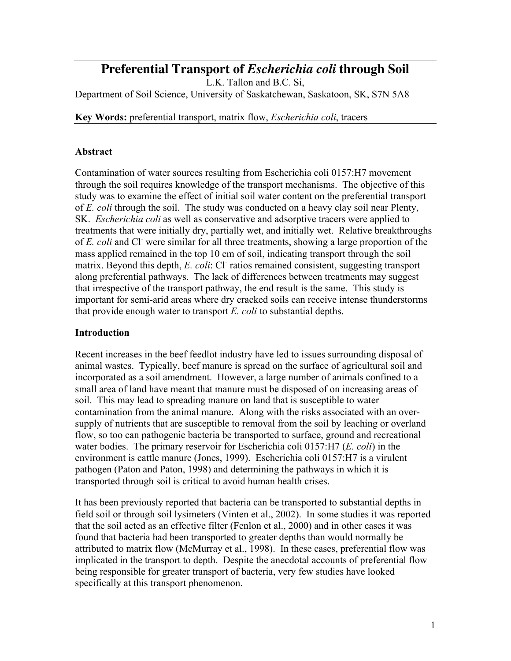# **Preferential Transport of** *Escherichia coli* **through Soil**

L.K. Tallon and B.C. Si, Department of Soil Science, University of Saskatchewan, Saskatoon, SK, S7N 5A8

Key Words: preferential transport, matrix flow, *Escherichia coli*, tracers

#### Abstract

Contamination of water sources resulting from Escherichia coli 0157:H7 movement through the soil requires knowledge of the transport mechanisms. The objective of this study was to examine the effect of initial soil water content on the preferential transport of *E. coli* through the soil. The study was conducted on a heavy clay soil near Plenty, SK. *Escherichia coli* as well as conservative and adsorptive tracers were applied to treatments that were initially dry, partially wet, and initially wet. Relative breakthroughs of *E. coli* and Cl<sup>-</sup> were similar for all three treatments, showing a large proportion of the mass applied remained in the top 10 cm of soil, indicating transport through the soil matrix. Beyond this depth, *E. coli:* Cl<sup>-</sup> ratios remained consistent, suggesting transport along preferential pathways. The lack of differences between treatments may suggest that irrespective of the transport pathway, the end result is the same. This study is important for semi-arid areas where dry cracked soils can receive intense thunderstorms that provide enough water to transport *E. coli* to substantial depths.

#### **Introduction**

Recent increases in the beef feedlot industry have led to issues surrounding disposal of animal wastes. Typically, beef manure is spread on the surface of agricultural soil and incorporated as a soil amendment. However, a large number of animals confined to a small area of land have meant that manure must be disposed of on increasing areas of soil. This may lead to spreading manure on land that is susceptible to water contamination from the animal manure. Along with the risks associated with an oversupply of nutrients that are susceptible to removal from the soil by leaching or overland flow, so too can pathogenic bacteria be transported to surface, ground and recreational water bodies. The primary reservoir for Escherichia coli 0157:H7 (*E. coli*) in the environment is cattle manure (Jones, 1999). Escherichia coli 0157:H7 is a virulent pathogen (Paton and Paton, 1998) and determining the pathways in which it is transported through soil is critical to avoid human health crises.

It has been previously reported that bacteria can be transported to substantial depths in field soil or through soil lysimeters (Vinten et al., 2002). In some studies it was reported that the soil acted as an effective filter (Fenlon et al., 2000) and in other cases it was found that bacteria had been transported to greater depths than would normally be attributed to matrix flow (McMurray et al., 1998). In these cases, preferential flow was implicated in the transport to depth. Despite the anecdotal accounts of preferential flow being responsible for greater transport of bacteria, very few studies have looked specifically at this transport phenomenon.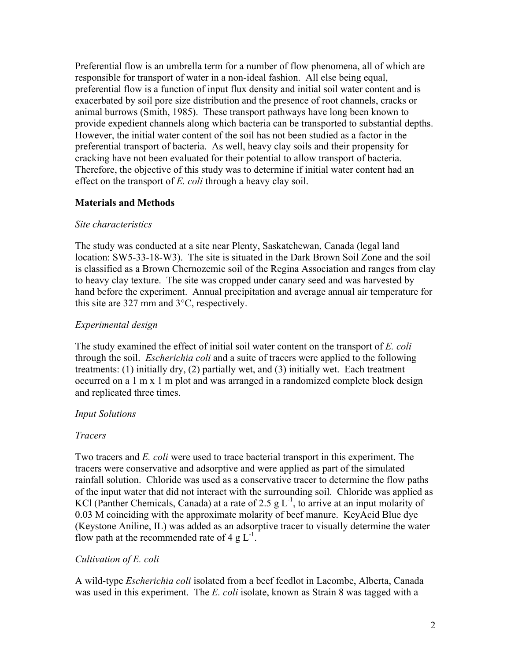Preferential flow is an umbrella term for a number of flow phenomena, all of which are responsible for transport of water in a non-ideal fashion. All else being equal, preferential flow is a function of input flux density and initial soil water content and is exacerbated by soil pore size distribution and the presence of root channels, cracks or animal burrows (Smith, 1985). These transport pathways have long been known to provide expedient channels along which bacteria can be transported to substantial depths. However, the initial water content of the soil has not been studied as a factor in the preferential transport of bacteria. As well, heavy clay soils and their propensity for cracking have not been evaluated for their potential to allow transport of bacteria. Therefore, the objective of this study was to determine if initial water content had an effect on the transport of *E. coli* through a heavy clay soil.

# Materials and Methods

#### *Site characteristics*

The study was conducted at a site near Plenty, Saskatchewan, Canada (legal land location: SW5-33-18-W3). The site is situated in the Dark Brown Soil Zone and the soil is classified as a Brown Chernozemic soil of the Regina Association and ranges from clay to heavy clay texture. The site was cropped under canary seed and was harvested by hand before the experiment. Annual precipitation and average annual air temperature for this site are 327 mm and 3°C, respectively.

# *Experimental design*

The study examined the effect of initial soil water content on the transport of *E. coli* through the soil. *Escherichia coli* and a suite of tracers were applied to the following treatments: (1) initially dry, (2) partially wet, and (3) initially wet. Each treatment occurred on a 1 m x 1 m plot and was arranged in a randomized complete block design and replicated three times.

#### *Input Solutions*

# *Tracers*

Two tracers and *E. coli* were used to trace bacterial transport in this experiment. The tracers were conservative and adsorptive and were applied as part of the simulated rainfall solution. Chloride was used as a conservative tracer to determine the flow paths of the input water that did not interact with the surrounding soil. Chloride was applied as KCl (Panther Chemicals, Canada) at a rate of 2.5 g  $L^{-1}$ , to arrive at an input molarity of 0.03 M coinciding with the approximate molarity of beef manure. KeyAcid Blue dye (Keystone Aniline, IL) was added as an adsorptive tracer to visually determine the water flow path at the recommended rate of 4 g  $L^{-1}$ .

# *Cultivation of E. coli*

A wild-type *Escherichia coli* isolated from a beef feedlot in Lacombe, Alberta, Canada was used in this experiment. The *E. coli* isolate, known as Strain 8 was tagged with a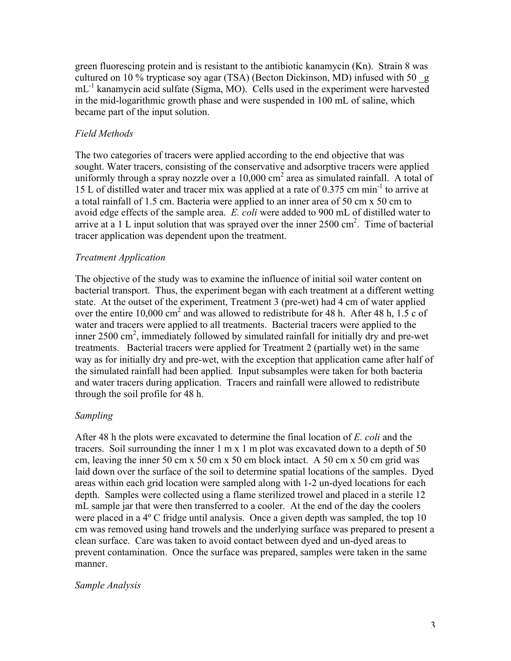green fluorescing protein and is resistant to the antibiotic kanamycin (Kn). Strain 8 was cultured on 10 % trypticase soy agar (TSA) (Becton Dickinson, MD) infused with 50 \_g mL<sup>-1</sup> kanamycin acid sulfate (Sigma, MO). Cells used in the experiment were harvested in the mid-logarithmic growth phase and were suspended in 100 mL of saline, which became part of the input solution.

# *Field Methods*

The two categories of tracers were applied according to the end objective that was sought. Water tracers, consisting of the conservative and adsorptive tracers were applied uniformly through a spray nozzle over a  $10,000$  cm<sup>2</sup> area as simulated rainfall. A total of 15 L of distilled water and tracer mix was applied at a rate of 0.375 cm min-1 to arrive at a total rainfall of 1.5 cm. Bacteria were applied to an inner area of 50 cm x 50 cm to avoid edge effects of the sample area. *E. coli* were added to 900 mL of distilled water to arrive at a 1 L input solution that was sprayed over the inner  $2500 \text{ cm}^2$ . Time of bacterial tracer application was dependent upon the treatment.

# *Treatment Application*

The objective of the study was to examine the influence of initial soil water content on bacterial transport. Thus, the experiment began with each treatment at a different wetting state. At the outset of the experiment, Treatment 3 (pre-wet) had 4 cm of water applied over the entire 10,000 cm<sup>2</sup> and was allowed to redistribute for 48 h. After 48 h, 1.5 c of water and tracers were applied to all treatments. Bacterial tracers were applied to the inner 2500 cm<sup>2</sup>, immediately followed by simulated rainfall for initially dry and pre-wet treatments. Bacterial tracers were applied for Treatment 2 (partially wet) in the same way as for initially dry and pre-wet, with the exception that application came after half of the simulated rainfall had been applied. Input subsamples were taken for both bacteria and water tracers during application. Tracers and rainfall were allowed to redistribute through the soil profile for 48 h.

# *Sampling*

After 48 h the plots were excavated to determine the final location of *E. coli* and the tracers. Soil surrounding the inner  $1 \text{ m} \times 1 \text{ m}$  plot was excavated down to a depth of 50 cm, leaving the inner 50 cm x 50 cm x 50 cm block intact. A 50 cm x 50 cm grid was laid down over the surface of the soil to determine spatial locations of the samples. Dyed areas within each grid location were sampled along with 1-2 un-dyed locations for each depth. Samples were collected using a flame sterilized trowel and placed in a sterile 12 mL sample jar that were then transferred to a cooler. At the end of the day the coolers were placed in a 4<sup>°</sup> C fridge until analysis. Once a given depth was sampled, the top 10 cm was removed using hand trowels and the underlying surface was prepared to present a clean surface. Care was taken to avoid contact between dyed and un-dyed areas to prevent contamination. Once the surface was prepared, samples were taken in the same manner.

# *Sample Analysis*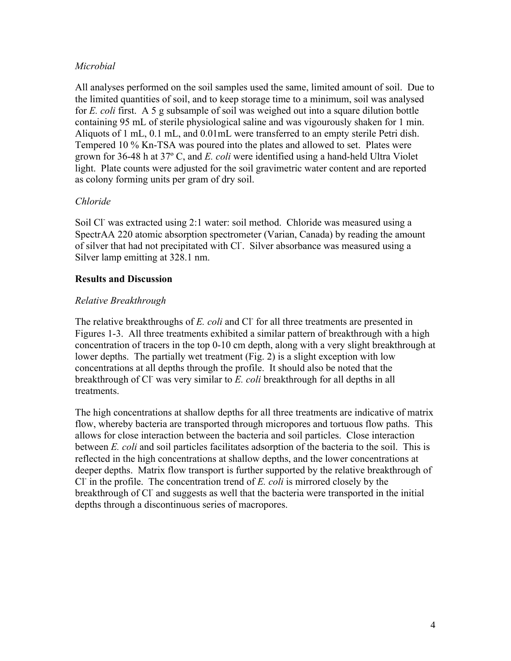# *Microbial*

All analyses performed on the soil samples used the same, limited amount of soil. Due to the limited quantities of soil, and to keep storage time to a minimum, soil was analysed for *E. coli* first. A 5 g subsample of soil was weighed out into a square dilution bottle containing 95 mL of sterile physiological saline and was vigourously shaken for 1 min. Aliquots of 1 mL, 0.1 mL, and 0.01mL were transferred to an empty sterile Petri dish. Tempered 10 % Kn-TSA was poured into the plates and allowed to set. Plates were grown for 36-48 h at 37º C, and *E. coli* were identified using a hand-held Ultra Violet light. Plate counts were adjusted for the soil gravimetric water content and are reported as colony forming units per gram of dry soil.

# *Chloride*

Soil Cl<sup>-</sup> was extracted using 2:1 water: soil method. Chloride was measured using a SpectrAA 220 atomic absorption spectrometer (Varian, Canada) by reading the amount of silver that had not precipitated with Cl. Silver absorbance was measured using a Silver lamp emitting at 328.1 nm.

# Results and Discussion

# *Relative Breakthrough*

The relative breakthroughs of *E. coli* and Cl<sup>-</sup> for all three treatments are presented in Figures 1-3. All three treatments exhibited a similar pattern of breakthrough with a high concentration of tracers in the top 0-10 cm depth, along with a very slight breakthrough at lower depths. The partially wet treatment (Fig. 2) is a slight exception with low concentrations at all depths through the profile. It should also be noted that the breakthrough of Cl was very similar to E. coli breakthrough for all depths in all treatments.

The high concentrations at shallow depths for all three treatments are indicative of matrix flow, whereby bacteria are transported through micropores and tortuous flow paths. This allows for close interaction between the bacteria and soil particles. Close interaction between *E. coli* and soil particles facilitates adsorption of the bacteria to the soil. This is reflected in the high concentrations at shallow depths, and the lower concentrations at deeper depths. Matrix flow transport is further supported by the relative breakthrough of Cl- in the profile. The concentration trend of *E. coli* is mirrored closely by the breakthrough of Cl<sup>-</sup> and suggests as well that the bacteria were transported in the initial depths through a discontinuous series of macropores.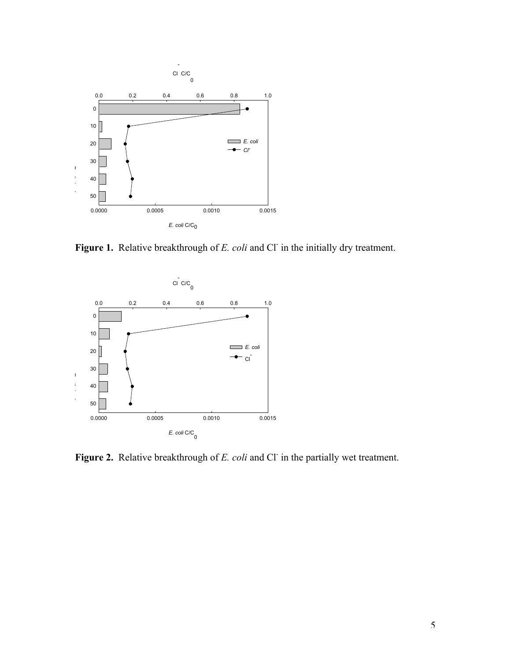

Figure 1. Relative breakthrough of *E. coli* and Cl<sup>-</sup> in the initially dry treatment.



Figure 2. Relative breakthrough of *E. coli* and Cl in the partially wet treatment.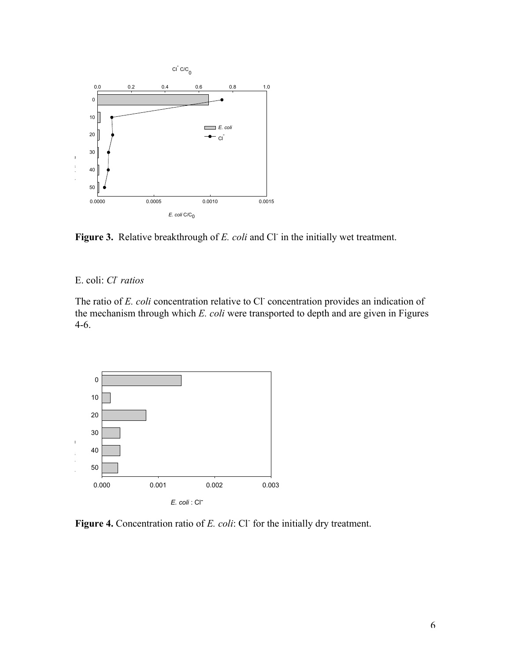

Figure 3. Relative breakthrough of *E. coli* and Cl in the initially wet treatment.

E. coli: *Cl- ratios*

The ratio of *E. coli* concentration relative to Cl concentration provides an indication of the mechanism through which *E. coli* were transported to depth and are given in Figures 4-6.



Figure 4. Concentration ratio of *E. coli*: Cl<sup>-</sup> for the initially dry treatment.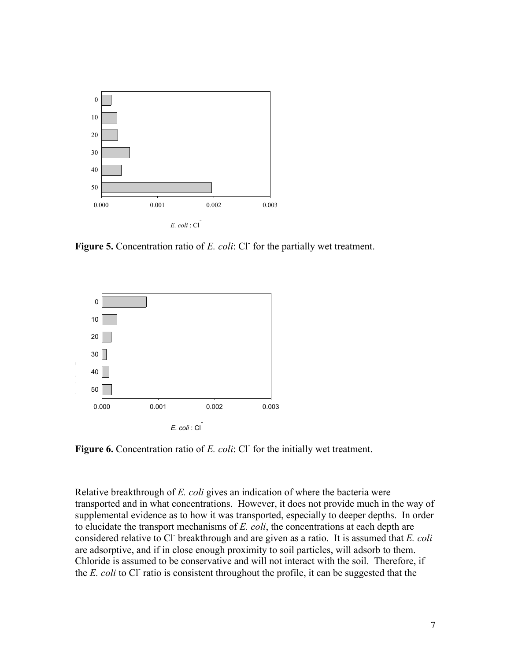

Figure 5. Concentration ratio of *E. coli*: Cl<sup>-</sup> for the partially wet treatment.



Figure 6. Concentration ratio of *E. coli*: Cl<sup>-</sup> for the initially wet treatment.

Relative breakthrough of *E. coli* gives an indication of where the bacteria were transported and in what concentrations. However, it does not provide much in the way of supplemental evidence as to how it was transported, especially to deeper depths. In order to elucidate the transport mechanisms of *E. coli*, the concentrations at each depth are considered relative to Cl- breakthrough and are given as a ratio. It is assumed that *E. coli* are adsorptive, and if in close enough proximity to soil particles, will adsorb to them. Chloride is assumed to be conservative and will not interact with the soil. Therefore, if the *E. coli* to Cl<sup>-</sup> ratio is consistent throughout the profile, it can be suggested that the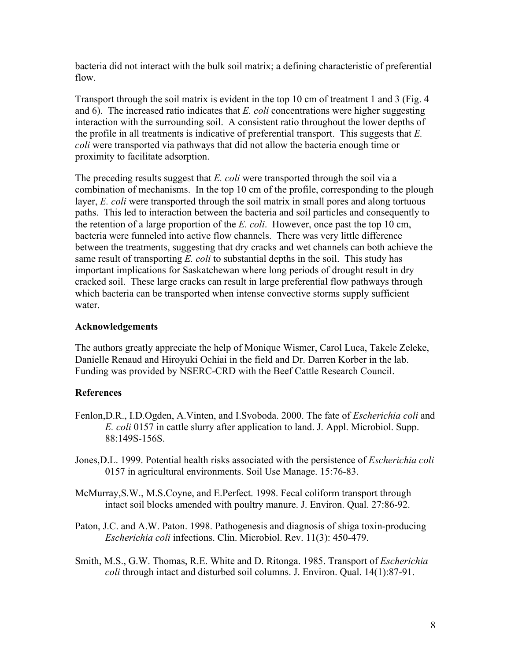bacteria did not interact with the bulk soil matrix; a defining characteristic of preferential flow.

Transport through the soil matrix is evident in the top 10 cm of treatment 1 and 3 (Fig. 4 and 6). The increased ratio indicates that *E. coli* concentrations were higher suggesting interaction with the surrounding soil. A consistent ratio throughout the lower depths of the profile in all treatments is indicative of preferential transport. This suggests that *E. coli* were transported via pathways that did not allow the bacteria enough time or proximity to facilitate adsorption.

The preceding results suggest that *E. coli* were transported through the soil via a combination of mechanisms. In the top 10 cm of the profile, corresponding to the plough layer, *E. coli* were transported through the soil matrix in small pores and along tortuous paths. This led to interaction between the bacteria and soil particles and consequently to the retention of a large proportion of the *E. coli*. However, once past the top 10 cm, bacteria were funneled into active flow channels. There was very little difference between the treatments, suggesting that dry cracks and wet channels can both achieve the same result of transporting *E. coli* to substantial depths in the soil. This study has important implications for Saskatchewan where long periods of drought result in dry cracked soil. These large cracks can result in large preferential flow pathways through which bacteria can be transported when intense convective storms supply sufficient water

#### Acknowledgements

The authors greatly appreciate the help of Monique Wismer, Carol Luca, Takele Zeleke, Danielle Renaud and Hiroyuki Ochiai in the field and Dr. Darren Korber in the lab. Funding was provided by NSERC-CRD with the Beef Cattle Research Council.

# **References**

- Fenlon,D.R., I.D.Ogden, A.Vinten, and I.Svoboda. 2000. The fate of *Escherichia coli* and *E. coli* 0157 in cattle slurry after application to land. J. Appl. Microbiol. Supp. 88:149S-156S.
- Jones,D.L. 1999. Potential health risks associated with the persistence of *Escherichia coli* 0157 in agricultural environments. Soil Use Manage. 15:76-83.
- McMurray,S.W., M.S.Coyne, and E.Perfect. 1998. Fecal coliform transport through intact soil blocks amended with poultry manure. J. Environ. Qual. 27:86-92.
- Paton, J.C. and A.W. Paton. 1998. Pathogenesis and diagnosis of shiga toxin-producing *Escherichia coli* infections. Clin. Microbiol. Rev. 11(3): 450-479.
- Smith, M.S., G.W. Thomas, R.E. White and D. Ritonga. 1985. Transport of *Escherichia coli* through intact and disturbed soil columns. J. Environ. Qual. 14(1):87-91.